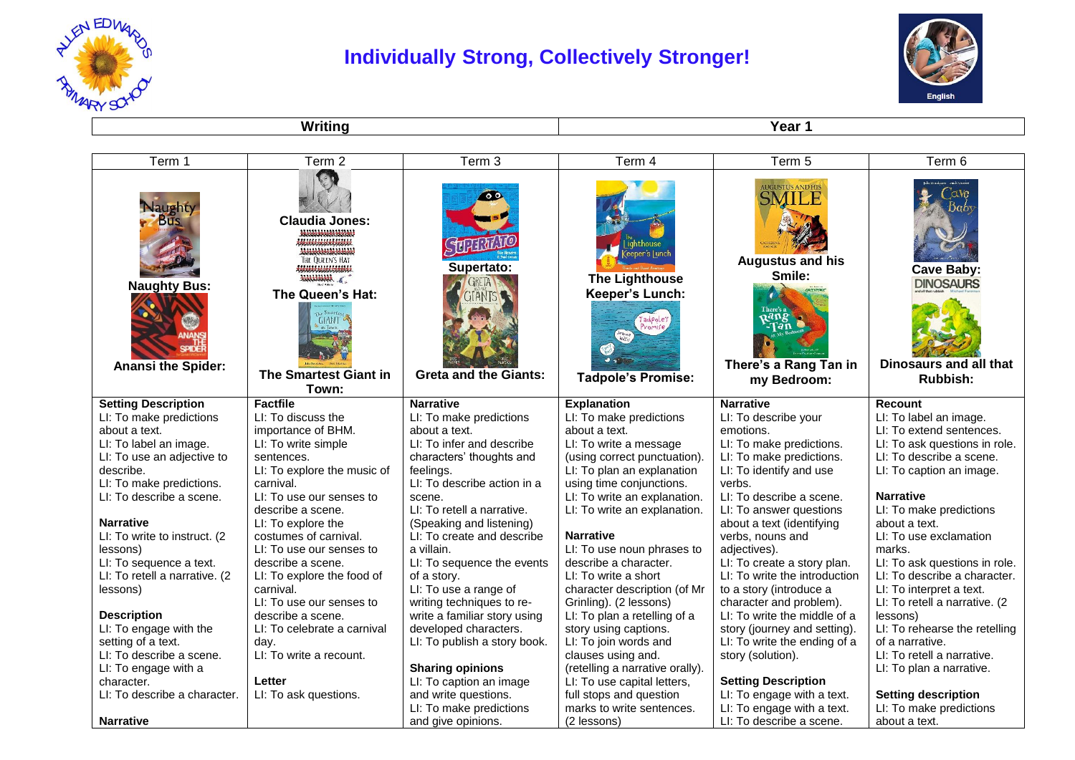

## **Individually Strong, Collectively Stronger!**



**Writing Year 1** 

| Term 1                                                                           | Term <sub>2</sub>                                                                                                                                                  | Term 3                                                            | Term 4                                                                | Term 5                                                                                                       | Term 6                                                                      |
|----------------------------------------------------------------------------------|--------------------------------------------------------------------------------------------------------------------------------------------------------------------|-------------------------------------------------------------------|-----------------------------------------------------------------------|--------------------------------------------------------------------------------------------------------------|-----------------------------------------------------------------------------|
| <b>Naughty</b><br><b>Bus</b><br><b>Naughty Bus:</b><br><b>Anansi the Spider:</b> | <b>Claudia Jones:</b><br>200000000000<br><br><b>HF OUFFN'S HAT</b><br><b>HALLALAR</b><br>The Queen's Hat:<br><b>GIANT</b><br><b>The Smartest Giant in</b><br>Town: | 00<br>Supertato:<br><b>GTANTS</b><br><b>Greta and the Giants:</b> | <b>The Lighthouse</b><br>Keeper's Lunch:<br><b>Tadpole's Promise:</b> | <b>AUGUSTUS AND HIS</b><br><b>Augustus and his</b><br>Smile:<br>:Tən<br>There's a Rang Tan in<br>my Bedroom: | Cave Baby:<br><b>DINOSAURS</b><br>Dinosaurs and all that<br><b>Rubbish:</b> |
| <b>Setting Description</b>                                                       | <b>Factfile</b>                                                                                                                                                    | <b>Narrative</b>                                                  | <b>Explanation</b>                                                    | <b>Narrative</b>                                                                                             | Recount                                                                     |
| LI: To make predictions                                                          | LI: To discuss the                                                                                                                                                 | LI: To make predictions                                           | LI: To make predictions                                               | LI: To describe your                                                                                         | LI: To label an image.                                                      |
| about a text.                                                                    | importance of BHM.                                                                                                                                                 | about a text.                                                     | about a text.                                                         | emotions.                                                                                                    | LI: To extend sentences.                                                    |
| LI: To label an image.                                                           | LI: To write simple                                                                                                                                                | LI: To infer and describe                                         | LI: To write a message                                                | LI: To make predictions.                                                                                     | LI: To ask questions in role.                                               |
| LI: To use an adjective to                                                       | sentences.                                                                                                                                                         | characters' thoughts and                                          | (using correct punctuation).                                          | LI: To make predictions.                                                                                     | LI: To describe a scene.                                                    |
| describe.                                                                        | LI: To explore the music of                                                                                                                                        | feelings.                                                         | LI: To plan an explanation                                            | LI: To identify and use                                                                                      | LI: To caption an image.                                                    |
| LI: To make predictions.                                                         | carnival.                                                                                                                                                          | LI: To describe action in a                                       | using time conjunctions.                                              | verbs.                                                                                                       |                                                                             |
| LI: To describe a scene.                                                         | LI: To use our senses to                                                                                                                                           | scene.                                                            | LI: To write an explanation.                                          | LI: To describe a scene.                                                                                     | <b>Narrative</b>                                                            |
|                                                                                  | describe a scene.                                                                                                                                                  | LI: To retell a narrative.                                        | LI: To write an explanation.                                          | LI: To answer questions                                                                                      | LI: To make predictions                                                     |
| <b>Narrative</b>                                                                 | LI: To explore the                                                                                                                                                 | (Speaking and listening)                                          |                                                                       | about a text (identifying                                                                                    | about a text.                                                               |
| LI: To write to instruct. (2)                                                    | costumes of carnival.                                                                                                                                              | LI: To create and describe                                        | <b>Narrative</b>                                                      | verbs, nouns and                                                                                             | LI: To use exclamation                                                      |
| lessons)                                                                         | LI: To use our senses to                                                                                                                                           | a villain.                                                        | LI: To use noun phrases to                                            | adjectives).                                                                                                 | marks.                                                                      |
| LI: To sequence a text.                                                          | describe a scene.                                                                                                                                                  | LI: To sequence the events                                        | describe a character.                                                 | LI: To create a story plan.                                                                                  | LI: To ask questions in role.                                               |
| LI: To retell a narrative. (2                                                    | LI: To explore the food of                                                                                                                                         | of a story.                                                       | LI: To write a short                                                  | LI: To write the introduction                                                                                | LI: To describe a character.                                                |
| lessons)                                                                         | carnival.                                                                                                                                                          | LI: To use a range of                                             | character description (of Mr                                          | to a story (introduce a                                                                                      | LI: To interpret a text.                                                    |
|                                                                                  | LI: To use our senses to                                                                                                                                           | writing techniques to re-                                         | Grinling). (2 lessons)                                                | character and problem).                                                                                      | LI: To retell a narrative. (2                                               |
| <b>Description</b>                                                               | describe a scene.                                                                                                                                                  | write a familiar story using                                      | LI: To plan a retelling of a                                          | LI: To write the middle of a                                                                                 | lessons)                                                                    |
| LI: To engage with the                                                           | LI: To celebrate a carnival                                                                                                                                        | developed characters.                                             | story using captions.                                                 | story (journey and setting).                                                                                 | LI: To rehearse the retelling                                               |
| setting of a text.                                                               | day.                                                                                                                                                               | LI: To publish a story book.                                      | LI: To join words and                                                 | LI: To write the ending of a                                                                                 | of a narrative.                                                             |
| LI: To describe a scene.                                                         | LI: To write a recount.                                                                                                                                            |                                                                   | clauses using and.                                                    | story (solution).                                                                                            | LI: To retell a narrative.                                                  |
| LI: To engage with a                                                             |                                                                                                                                                                    | <b>Sharing opinions</b>                                           | (retelling a narrative orally).                                       |                                                                                                              | LI: To plan a narrative.                                                    |
| character.                                                                       | Letter                                                                                                                                                             | LI: To caption an image                                           | LI: To use capital letters,                                           | <b>Setting Description</b>                                                                                   |                                                                             |
| LI: To describe a character.                                                     | LI: To ask questions.                                                                                                                                              | and write questions.                                              | full stops and question                                               | LI: To engage with a text.                                                                                   | <b>Setting description</b>                                                  |
|                                                                                  |                                                                                                                                                                    | LI: To make predictions                                           | marks to write sentences.                                             | LI: To engage with a text.                                                                                   | LI: To make predictions                                                     |
| <b>Narrative</b>                                                                 |                                                                                                                                                                    | and give opinions.                                                | (2 lessons)                                                           | LI: To describe a scene.                                                                                     | about a text.                                                               |